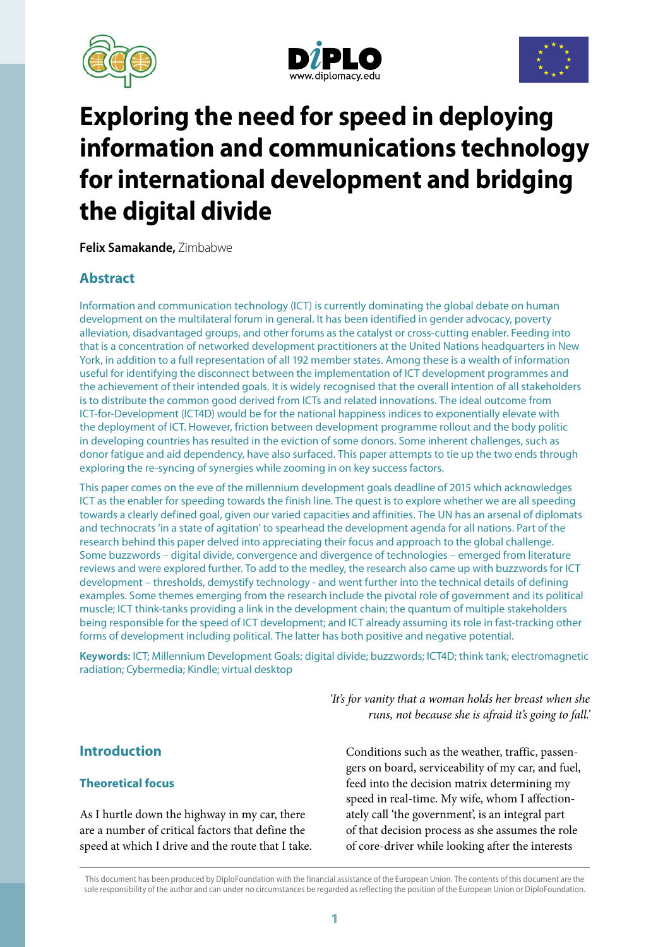





# **Exploring the need for speed in deploying information and communications technology for international development and bridging the digital divide**

**Felix Samakande,** Zimbabwe

## **Abstract**

Information and communication technology (ICT) is currently dominating the global debate on human development on the multilateral forum in general. It has been identified in gender advocacy, poverty alleviation, disadvantaged groups, and other forums as the catalyst or cross-cutting enabler. Feeding into that is a concentration of networked development practitioners at the United Nations headquarters in New York, in addition to a full representation of all 192 member states. Among these is a wealth of information useful for identifying the disconnect between the implementation of ICT development programmes and the achievement of their intended goals. It is widely recognised that the overall intention of all stakeholders is to distribute the common good derived from ICTs and related innovations. The ideal outcome from ICT-for-Development (ICT4D) would be for the national happiness indices to exponentially elevate with the deployment of ICT. However, friction between development programme rollout and the body politic in developing countries has resulted in the eviction of some donors. Some inherent challenges, such as donor fatigue and aid dependency, have also surfaced. This paper attempts to tie up the two ends through exploring the re-syncing of synergies while zooming in on key success factors.

This paper comes on the eve of the millennium development goals deadline of 2015 which acknowledges ICT as the enabler for speeding towards the finish line. The quest is to explore whether we are all speeding towards a clearly defined goal, given our varied capacities and affinities. The UN has an arsenal of diplomats and technocrats 'in a state of agitation' to spearhead the development agenda for all nations. Part of the research behind this paper delved into appreciating their focus and approach to the global challenge. Some buzzwords – digital divide, convergence and divergence of technologies – emerged from literature reviews and were explored further. To add to the medley, the research also came up with buzzwords for ICT development – thresholds, demystify technology - and went further into the technical details of defining examples. Some themes emerging from the research include the pivotal role of government and its political muscle; ICT think-tanks providing a link in the development chain; the quantum of multiple stakeholders being responsible for the speed of ICT development; and ICT already assuming its role in fast-tracking other forms of development including political. The latter has both positive and negative potential.

**Keywords:** ICT; Millennium Development Goals; digital divide; buzzwords; ICT4D; think tank; electromagnetic radiation; Cybermedia; Kindle; virtual desktop

> *'It's for vanity that a woman holds her breast when she runs, not because she is afraid it's going to fall.'*

## **Introduction**

## **Theoretical focus**

As I hurtle down the highway in my car, there are a number of critical factors that define the speed at which I drive and the route that I take. Conditions such as the weather, traffic, passengers on board, serviceability of my car, and fuel, feed into the decision matrix determining my speed in real-time. My wife, whom I affectionately call 'the government', is an integral part of that decision process as she assumes the role of core-driver while looking after the interests

This document has been produced by DiploFoundation with the financial assistance of the European Union. The contents of this document are the sole responsibility of the author and can under no circumstances be regarded as reflecting the position of the European Union or DiploFoundation.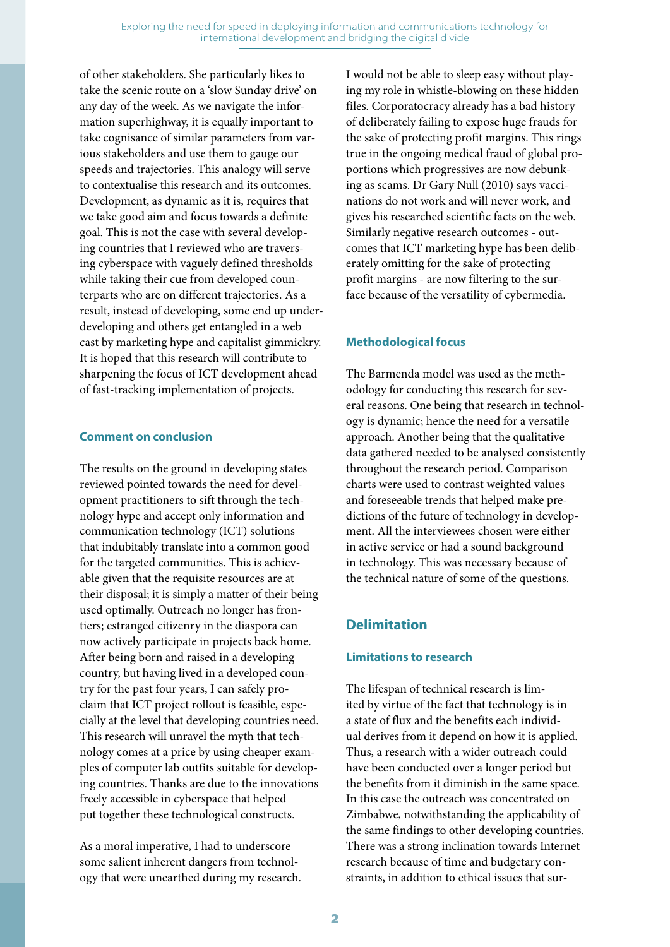of other stakeholders. She particularly likes to take the scenic route on a 'slow Sunday drive' on any day of the week. As we navigate the information superhighway, it is equally important to take cognisance of similar parameters from various stakeholders and use them to gauge our speeds and trajectories. This analogy will serve to contextualise this research and its outcomes. Development, as dynamic as it is, requires that we take good aim and focus towards a definite goal. This is not the case with several developing countries that I reviewed who are traversing cyberspace with vaguely defined thresholds while taking their cue from developed counterparts who are on different trajectories. As a result, instead of developing, some end up underdeveloping and others get entangled in a web cast by marketing hype and capitalist gimmickry. It is hoped that this research will contribute to sharpening the focus of ICT development ahead of fast-tracking implementation of projects.

#### **Comment on conclusion**

The results on the ground in developing states reviewed pointed towards the need for development practitioners to sift through the technology hype and accept only information and communication technology (ICT) solutions that indubitably translate into a common good for the targeted communities. This is achievable given that the requisite resources are at their disposal; it is simply a matter of their being used optimally. Outreach no longer has frontiers; estranged citizenry in the diaspora can now actively participate in projects back home. After being born and raised in a developing country, but having lived in a developed country for the past four years, I can safely proclaim that ICT project rollout is feasible, especially at the level that developing countries need. This research will unravel the myth that technology comes at a price by using cheaper examples of computer lab outfits suitable for developing countries. Thanks are due to the innovations freely accessible in cyberspace that helped put together these technological constructs.

As a moral imperative, I had to underscore some salient inherent dangers from technology that were unearthed during my research. I would not be able to sleep easy without playing my role in whistle-blowing on these hidden files. Corporatocracy already has a bad history of deliberately failing to expose huge frauds for the sake of protecting profit margins. This rings true in the ongoing medical fraud of global proportions which progressives are now debunking as scams. Dr Gary Null (2010) says vaccinations do not work and will never work, and gives his researched scientific facts on the web. Similarly negative research outcomes - outcomes that ICT marketing hype has been deliberately omitting for the sake of protecting profit margins - are now filtering to the surface because of the versatility of cybermedia.

## **Methodological focus**

The Barmenda model was used as the methodology for conducting this research for several reasons. One being that research in technology is dynamic; hence the need for a versatile approach. Another being that the qualitative data gathered needed to be analysed consistently throughout the research period. Comparison charts were used to contrast weighted values and foreseeable trends that helped make predictions of the future of technology in development. All the interviewees chosen were either in active service or had a sound background in technology. This was necessary because of the technical nature of some of the questions.

## **Delimitation**

## **Limitations to research**

The lifespan of technical research is limited by virtue of the fact that technology is in a state of flux and the benefits each individual derives from it depend on how it is applied. Thus, a research with a wider outreach could have been conducted over a longer period but the benefits from it diminish in the same space. In this case the outreach was concentrated on Zimbabwe, notwithstanding the applicability of the same findings to other developing countries. There was a strong inclination towards Internet research because of time and budgetary constraints, in addition to ethical issues that sur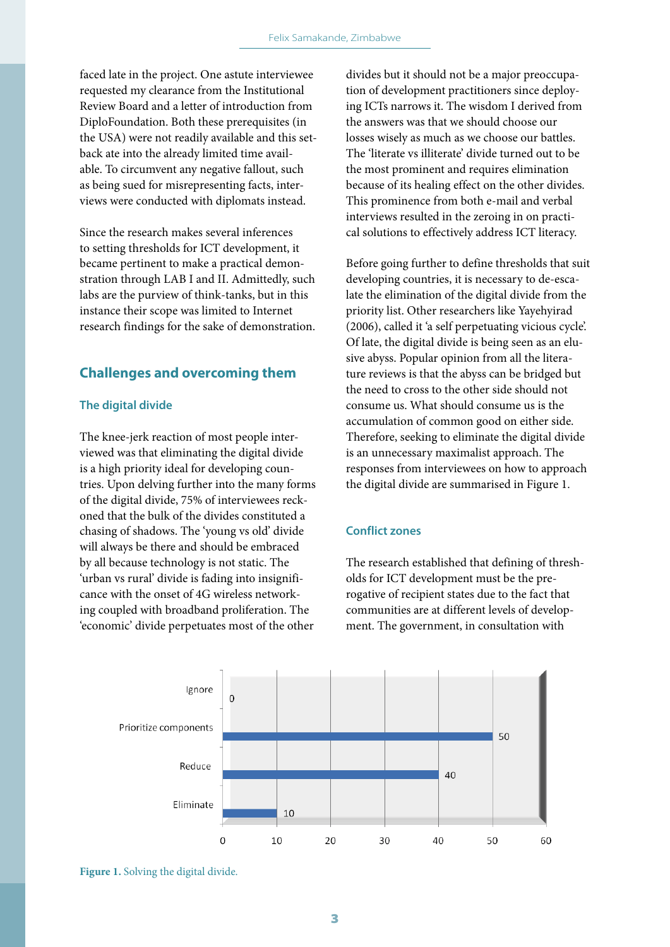faced late in the project. One astute interviewee requested my clearance from the Institutional Review Board and a letter of introduction from DiploFoundation. Both these prerequisites (in the USA) were not readily available and this setback ate into the already limited time available. To circumvent any negative fallout, such as being sued for misrepresenting facts, interviews were conducted with diplomats instead.

Since the research makes several inferences to setting thresholds for ICT development, it became pertinent to make a practical demonstration through LAB I and II. Admittedly, such labs are the purview of think-tanks, but in this instance their scope was limited to Internet research findings for the sake of demonstration.

## **Challenges and overcoming them**

#### **The digital divide**

The knee-jerk reaction of most people interviewed was that eliminating the digital divide is a high priority ideal for developing countries. Upon delving further into the many forms of the digital divide, 75% of interviewees reckoned that the bulk of the divides constituted a chasing of shadows. The 'young vs old' divide will always be there and should be embraced by all because technology is not static. The 'urban vs rural' divide is fading into insignificance with the onset of 4G wireless networking coupled with broadband proliferation. The 'economic' divide perpetuates most of the other

divides but it should not be a major preoccupation of development practitioners since deploying ICTs narrows it. The wisdom I derived from the answers was that we should choose our losses wisely as much as we choose our battles. The 'literate vs illiterate' divide turned out to be the most prominent and requires elimination because of its healing effect on the other divides. This prominence from both e-mail and verbal interviews resulted in the zeroing in on practical solutions to effectively address ICT literacy.

Before going further to define thresholds that suit developing countries, it is necessary to de-escalate the elimination of the digital divide from the priority list. Other researchers like Yayehyirad (2006), called it 'a self perpetuating vicious cycle'. Of late, the digital divide is being seen as an elusive abyss. Popular opinion from all the literature reviews is that the abyss can be bridged but the need to cross to the other side should not consume us. What should consume us is the accumulation of common good on either side. Therefore, seeking to eliminate the digital divide is an unnecessary maximalist approach. The responses from interviewees on how to approach the digital divide are summarised in Figure 1.

#### **Conflict zones**

The research established that defining of thresholds for ICT development must be the prerogative of recipient states due to the fact that communities are at different levels of development. The government, in consultation with



**Figure 1.** Solving the digital divide.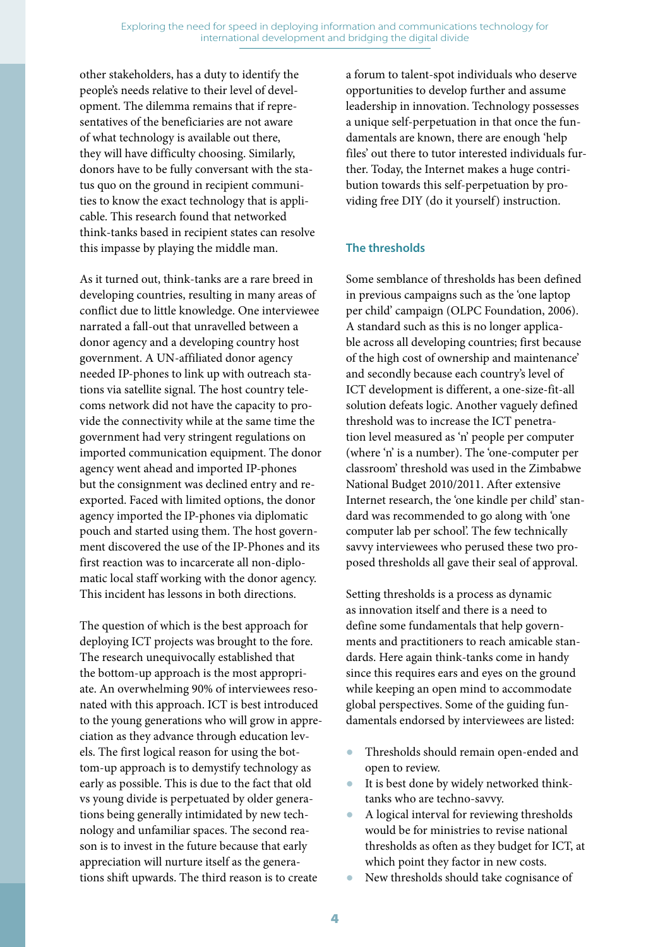other stakeholders, has a duty to identify the people's needs relative to their level of development. The dilemma remains that if representatives of the beneficiaries are not aware of what technology is available out there, they will have difficulty choosing. Similarly, donors have to be fully conversant with the status quo on the ground in recipient communities to know the exact technology that is applicable. This research found that networked think-tanks based in recipient states can resolve this impasse by playing the middle man.

As it turned out, think-tanks are a rare breed in developing countries, resulting in many areas of conflict due to little knowledge. One interviewee narrated a fall-out that unravelled between a donor agency and a developing country host government. A UN-affiliated donor agency needed IP-phones to link up with outreach stations via satellite signal. The host country telecoms network did not have the capacity to provide the connectivity while at the same time the government had very stringent regulations on imported communication equipment. The donor agency went ahead and imported IP-phones but the consignment was declined entry and reexported. Faced with limited options, the donor agency imported the IP-phones via diplomatic pouch and started using them. The host government discovered the use of the IP-Phones and its first reaction was to incarcerate all non-diplomatic local staff working with the donor agency. This incident has lessons in both directions.

The question of which is the best approach for deploying ICT projects was brought to the fore. The research unequivocally established that the bottom-up approach is the most appropriate. An overwhelming 90% of interviewees resonated with this approach. ICT is best introduced to the young generations who will grow in appreciation as they advance through education levels. The first logical reason for using the bottom-up approach is to demystify technology as early as possible. This is due to the fact that old vs young divide is perpetuated by older generations being generally intimidated by new technology and unfamiliar spaces. The second reason is to invest in the future because that early appreciation will nurture itself as the generations shift upwards. The third reason is to create

a forum to talent-spot individuals who deserve opportunities to develop further and assume leadership in innovation. Technology possesses a unique self-perpetuation in that once the fundamentals are known, there are enough 'help files' out there to tutor interested individuals further. Today, the Internet makes a huge contribution towards this self-perpetuation by providing free DIY (do it yourself) instruction.

## **The thresholds**

Some semblance of thresholds has been defined in previous campaigns such as the 'one laptop per child' campaign (OLPC Foundation, 2006). A standard such as this is no longer applicable across all developing countries; first because of the high cost of ownership and maintenance' and secondly because each country's level of ICT development is different, a one-size-fit-all solution defeats logic. Another vaguely defined threshold was to increase the ICT penetration level measured as 'n' people per computer (where 'n' is a number). The 'one-computer per classroom' threshold was used in the Zimbabwe National Budget 2010/2011. After extensive Internet research, the 'one kindle per child' standard was recommended to go along with 'one computer lab per school'. The few technically savvy interviewees who perused these two proposed thresholds all gave their seal of approval.

Setting thresholds is a process as dynamic as innovation itself and there is a need to define some fundamentals that help governments and practitioners to reach amicable standards. Here again think-tanks come in handy since this requires ears and eyes on the ground while keeping an open mind to accommodate global perspectives. Some of the guiding fundamentals endorsed by interviewees are listed:

- Thresholds should remain open-ended and open to review.
- It is best done by widely networked thinktanks who are techno-savvy.
- A logical interval for reviewing thresholds would be for ministries to revise national thresholds as often as they budget for ICT, at which point they factor in new costs.
- New thresholds should take cognisance of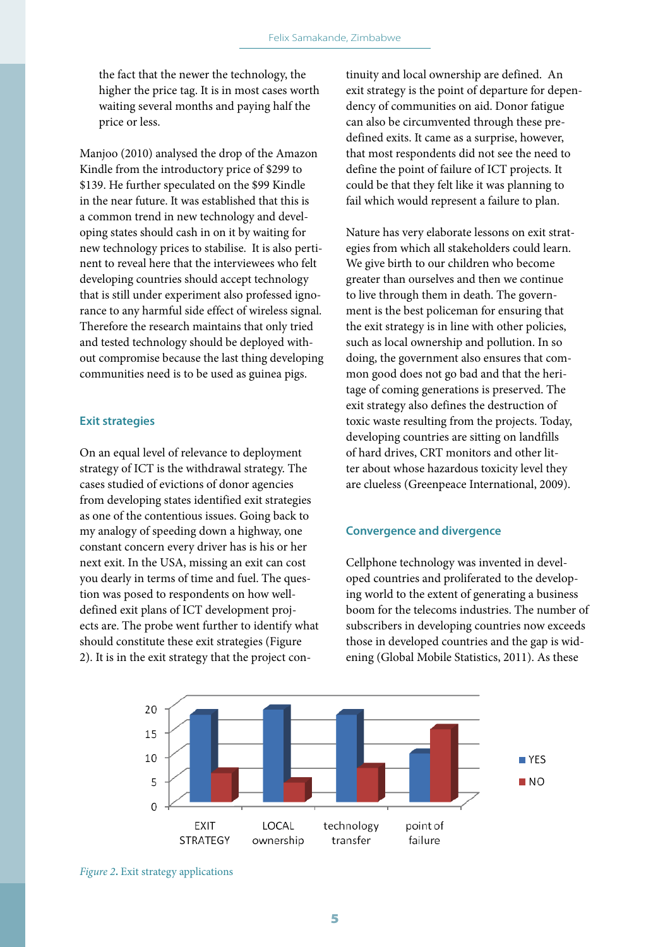the fact that the newer the technology, the higher the price tag. It is in most cases worth waiting several months and paying half the price or less.

Manjoo (2010) analysed the drop of the Amazon Kindle from the introductory price of \$299 to \$139. He further speculated on the \$99 Kindle in the near future. It was established that this is a common trend in new technology and developing states should cash in on it by waiting for new technology prices to stabilise. It is also pertinent to reveal here that the interviewees who felt developing countries should accept technology that is still under experiment also professed ignorance to any harmful side effect of wireless signal. Therefore the research maintains that only tried and tested technology should be deployed without compromise because the last thing developing communities need is to be used as guinea pigs.

#### **Exit strategies**

On an equal level of relevance to deployment strategy of ICT is the withdrawal strategy. The cases studied of evictions of donor agencies from developing states identified exit strategies as one of the contentious issues. Going back to my analogy of speeding down a highway, one constant concern every driver has is his or her next exit. In the USA, missing an exit can cost you dearly in terms of time and fuel. The question was posed to respondents on how welldefined exit plans of ICT development projects are. The probe went further to identify what should constitute these exit strategies (Figure 2). It is in the exit strategy that the project continuity and local ownership are defined. An exit strategy is the point of departure for dependency of communities on aid. Donor fatigue can also be circumvented through these predefined exits. It came as a surprise, however, that most respondents did not see the need to define the point of failure of ICT projects. It could be that they felt like it was planning to fail which would represent a failure to plan.

Nature has very elaborate lessons on exit strategies from which all stakeholders could learn. We give birth to our children who become greater than ourselves and then we continue to live through them in death. The government is the best policeman for ensuring that the exit strategy is in line with other policies, such as local ownership and pollution. In so doing, the government also ensures that common good does not go bad and that the heritage of coming generations is preserved. The exit strategy also defines the destruction of toxic waste resulting from the projects. Today, developing countries are sitting on landfills of hard drives, CRT monitors and other litter about whose hazardous toxicity level they are clueless (Greenpeace International, 2009).

#### **Convergence and divergence**

Cellphone technology was invented in developed countries and proliferated to the developing world to the extent of generating a business boom for the telecoms industries. The number of subscribers in developing countries now exceeds those in developed countries and the gap is widening (Global Mobile Statistics, 2011). As these



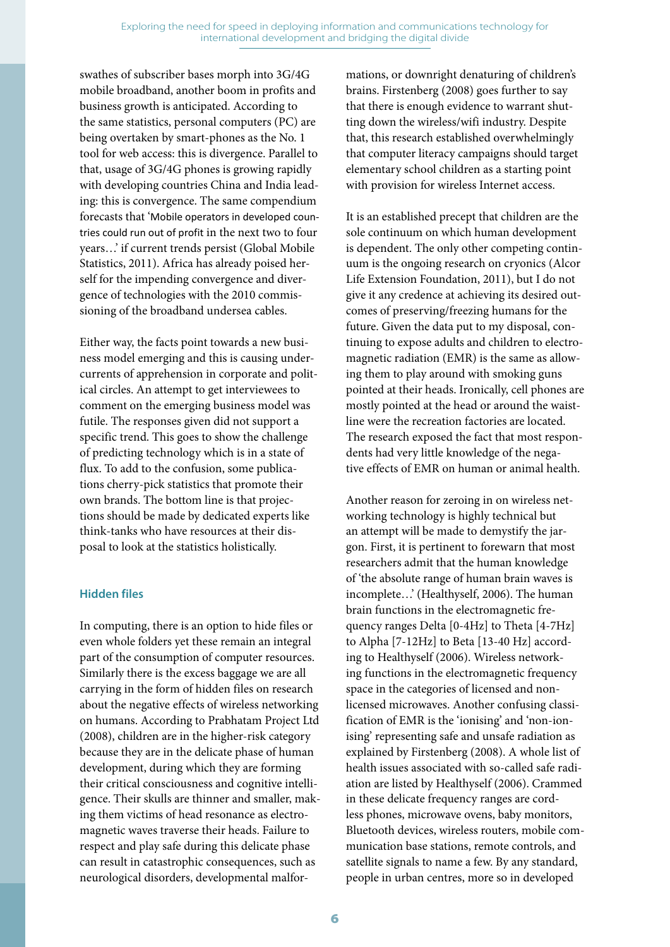swathes of subscriber bases morph into 3G/4G mobile broadband, another boom in profits and business growth is anticipated. According to the same statistics, personal computers (PC) are being overtaken by smart-phones as the No. 1 tool for web access: this is divergence. Parallel to that, usage of 3G/4G phones is growing rapidly with developing countries China and India leading: this is convergence. The same compendium forecasts that 'Mobile operators in developed countries could run out of profit in the next two to four years…' if current trends persist (Global Mobile Statistics, 2011). Africa has already poised herself for the impending convergence and divergence of technologies with the 2010 commissioning of the broadband undersea cables.

Either way, the facts point towards a new business model emerging and this is causing undercurrents of apprehension in corporate and political circles. An attempt to get interviewees to comment on the emerging business model was futile. The responses given did not support a specific trend. This goes to show the challenge of predicting technology which is in a state of flux. To add to the confusion, some publications cherry-pick statistics that promote their own brands. The bottom line is that projections should be made by dedicated experts like think-tanks who have resources at their disposal to look at the statistics holistically.

#### **Hidden files**

In computing, there is an option to hide files or even whole folders yet these remain an integral part of the consumption of computer resources. Similarly there is the excess baggage we are all carrying in the form of hidden files on research about the negative effects of wireless networking on humans. According to Prabhatam Project Ltd (2008), children are in the higher-risk category because they are in the delicate phase of human development, during which they are forming their critical consciousness and cognitive intelligence. Their skulls are thinner and smaller, making them victims of head resonance as electromagnetic waves traverse their heads. Failure to respect and play safe during this delicate phase can result in catastrophic consequences, such as neurological disorders, developmental malformations, or downright denaturing of children's brains. Firstenberg (2008) goes further to say that there is enough evidence to warrant shutting down the wireless/wifi industry. Despite that, this research established overwhelmingly that computer literacy campaigns should target elementary school children as a starting point with provision for wireless Internet access.

It is an established precept that children are the sole continuum on which human development is dependent. The only other competing continuum is the ongoing research on cryonics (Alcor Life Extension Foundation, 2011), but I do not give it any credence at achieving its desired outcomes of preserving/freezing humans for the future. Given the data put to my disposal, continuing to expose adults and children to electromagnetic radiation (EMR) is the same as allowing them to play around with smoking guns pointed at their heads. Ironically, cell phones are mostly pointed at the head or around the waistline were the recreation factories are located. The research exposed the fact that most respondents had very little knowledge of the negative effects of EMR on human or animal health.

Another reason for zeroing in on wireless networking technology is highly technical but an attempt will be made to demystify the jargon. First, it is pertinent to forewarn that most researchers admit that the human knowledge of 'the absolute range of human brain waves is incomplete…' (Healthyself, 2006). The human brain functions in the electromagnetic frequency ranges Delta [0-4Hz] to Theta [4-7Hz] to Alpha [7-12Hz] to Beta [13-40 Hz] according to Healthyself (2006). Wireless networking functions in the electromagnetic frequency space in the categories of licensed and nonlicensed microwaves. Another confusing classification of EMR is the 'ionising' and 'non-ionising' representing safe and unsafe radiation as explained by Firstenberg (2008). A whole list of health issues associated with so-called safe radiation are listed by Healthyself (2006). Crammed in these delicate frequency ranges are cordless phones, microwave ovens, baby monitors, Bluetooth devices, wireless routers, mobile communication base stations, remote controls, and satellite signals to name a few. By any standard, people in urban centres, more so in developed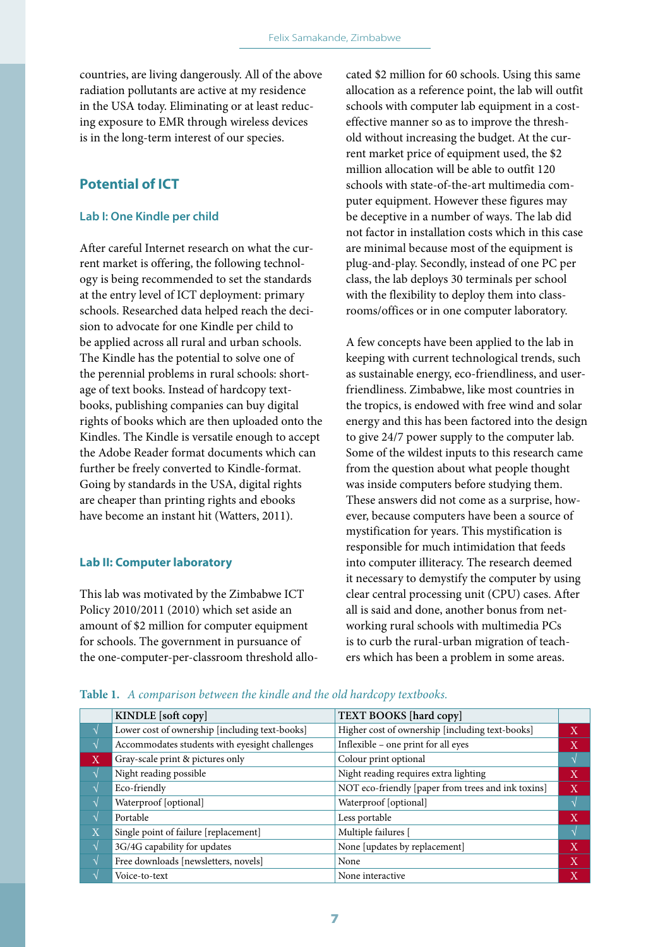countries, are living dangerously. All of the above radiation pollutants are active at my residence in the USA today. Eliminating or at least reducing exposure to EMR through wireless devices is in the long-term interest of our species.

## **Potential of ICT**

#### **Lab I: One Kindle per child**

After careful Internet research on what the current market is offering, the following technology is being recommended to set the standards at the entry level of ICT deployment: primary schools. Researched data helped reach the decision to advocate for one Kindle per child to be applied across all rural and urban schools. The Kindle has the potential to solve one of the perennial problems in rural schools: shortage of text books. Instead of hardcopy textbooks, publishing companies can buy digital rights of books which are then uploaded onto the Kindles. The Kindle is versatile enough to accept the Adobe Reader format documents which can further be freely converted to Kindle-format. Going by standards in the USA, digital rights are cheaper than printing rights and ebooks have become an instant hit (Watters, 2011).

#### **Lab II: Computer laboratory**

This lab was motivated by the Zimbabwe ICT Policy 2010/2011 (2010) which set aside an amount of \$2 million for computer equipment for schools. The government in pursuance of the one-computer-per-classroom threshold allocated \$2 million for 60 schools. Using this same allocation as a reference point, the lab will outfit schools with computer lab equipment in a costeffective manner so as to improve the threshold without increasing the budget. At the current market price of equipment used, the \$2 million allocation will be able to outfit 120 schools with state-of-the-art multimedia computer equipment. However these figures may be deceptive in a number of ways. The lab did not factor in installation costs which in this case are minimal because most of the equipment is plug-and-play. Secondly, instead of one PC per class, the lab deploys 30 terminals per school with the flexibility to deploy them into classrooms/offices or in one computer laboratory.

A few concepts have been applied to the lab in keeping with current technological trends, such as sustainable energy, eco-friendliness, and userfriendliness. Zimbabwe, like most countries in the tropics, is endowed with free wind and solar energy and this has been factored into the design to give 24/7 power supply to the computer lab. Some of the wildest inputs to this research came from the question about what people thought was inside computers before studying them. These answers did not come as a surprise, however, because computers have been a source of mystification for years. This mystification is responsible for much intimidation that feeds into computer illiteracy. The research deemed it necessary to demystify the computer by using clear central processing unit (CPU) cases. After all is said and done, another bonus from networking rural schools with multimedia PCs is to curb the rural-urban migration of teachers which has been a problem in some areas.

|             | KINDLE [soft copy]                             | <b>TEXT BOOKS</b> [hard copy]                      |                           |
|-------------|------------------------------------------------|----------------------------------------------------|---------------------------|
|             | Lower cost of ownership [including text-books] | Higher cost of ownership [including text-books]    | $\mathbf{X}$              |
|             | Accommodates students with eyesight challenges | Inflexible - one print for all eyes                | X                         |
| X           | Gray-scale print & pictures only               | Colour print optional                              |                           |
|             | Night reading possible                         | Night reading requires extra lighting              | $\boldsymbol{\mathrm{X}}$ |
|             | Eco-friendly                                   | NOT eco-friendly [paper from trees and ink toxins] | X                         |
|             | Waterproof [optional]                          | Waterproof [optional]                              |                           |
| اد          | Portable                                       | Less portable                                      | X                         |
| $\mathbf X$ | Single point of failure [replacement]          | Multiple failures [                                |                           |
|             | 3G/4G capability for updates                   | None [updates by replacement]                      | X                         |
|             | Free downloads [newsletters, novels]           | None                                               | X                         |
|             | Voice-to-text                                  | None interactive                                   |                           |

## **Table 1.** *A comparison between the kindle and the old hardcopy textbooks.*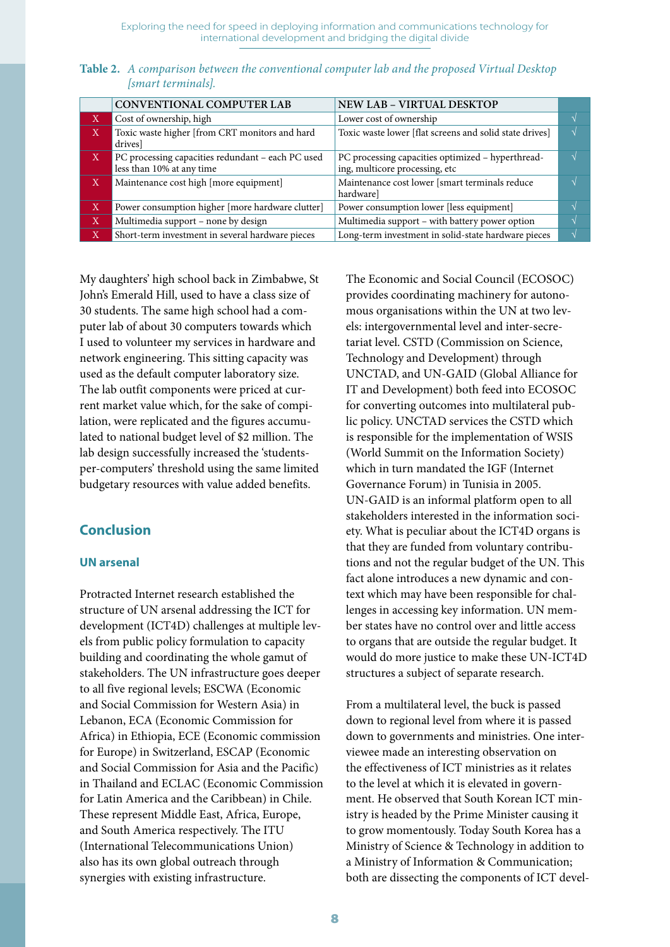Exploring the need for speed in deploying information and communications technology for international development and bridging the digital divide

| <b>Table 2.</b> A comparison between the conventional computer lab and the proposed Virtual Desktop |  |  |  |
|-----------------------------------------------------------------------------------------------------|--|--|--|
| <i>Ismart terminalsl.</i>                                                                           |  |  |  |

|              | CONVENTIONAL COMPUTER LAB                                                      | NEW LAB - VIRTUAL DESKTOP                                                           |               |
|--------------|--------------------------------------------------------------------------------|-------------------------------------------------------------------------------------|---------------|
| X            | Cost of ownership, high                                                        | Lower cost of ownership                                                             |               |
| X            | Toxic waste higher [from CRT monitors and hard<br>drives]                      | Toxic waste lower [flat screens and solid state drives]                             | $\Delta$      |
| $\mathbf{X}$ | PC processing capacities redundant - each PC used<br>less than 10% at any time | PC processing capacities optimized - hyperthread-<br>ing, multicore processing, etc | $\mathcal{N}$ |
| Χ            | Maintenance cost high [more equipment]                                         | Maintenance cost lower [smart terminals reduce<br>hardware]                         |               |
| X            | Power consumption higher [more hardware clutter]                               | Power consumption lower [less equipment]                                            |               |
| $\mathbf X$  | Multimedia support - none by design                                            | Multimedia support - with battery power option                                      |               |
| Χ            | Short-term investment in several hardware pieces                               | Long-term investment in solid-state hardware pieces                                 | $\Delta$      |

My daughters' high school back in Zimbabwe, St John's Emerald Hill, used to have a class size of 30 students. The same high school had a computer lab of about 30 computers towards which I used to volunteer my services in hardware and network engineering. This sitting capacity was used as the default computer laboratory size. The lab outfit components were priced at current market value which, for the sake of compilation, were replicated and the figures accumulated to national budget level of \$2 million. The lab design successfully increased the 'studentsper-computers' threshold using the same limited budgetary resources with value added benefits.

## **Conclusion**

#### **UN arsenal**

Protracted Internet research established the structure of UN arsenal addressing the ICT for development (ICT4D) challenges at multiple levels from public policy formulation to capacity building and coordinating the whole gamut of stakeholders. The UN infrastructure goes deeper to all five regional levels; ESCWA (Economic and Social Commission for Western Asia) in Lebanon, ECA (Economic Commission for Africa) in Ethiopia, ECE (Economic commission for Europe) in Switzerland, ESCAP (Economic and Social Commission for Asia and the Pacific) in Thailand and ECLAC (Economic Commission for Latin America and the Caribbean) in Chile. These represent Middle East, Africa, Europe, and South America respectively. The ITU (International Telecommunications Union) also has its own global outreach through synergies with existing infrastructure.

The Economic and Social Council (ECOSOC) provides coordinating machinery for autonomous organisations within the UN at two levels: intergovernmental level and inter-secretariat level. CSTD (Commission on Science, Technology and Development) through UNCTAD, and UN-GAID (Global Alliance for IT and Development) both feed into ECOSOC for converting outcomes into multilateral public policy. UNCTAD services the CSTD which is responsible for the implementation of WSIS (World Summit on the Information Society) which in turn mandated the IGF (Internet Governance Forum) in Tunisia in 2005. UN-GAID is an informal platform open to all stakeholders interested in the information society. What is peculiar about the ICT4D organs is that they are funded from voluntary contributions and not the regular budget of the UN. This fact alone introduces a new dynamic and context which may have been responsible for challenges in accessing key information. UN member states have no control over and little access to organs that are outside the regular budget. It would do more justice to make these UN-ICT4D structures a subject of separate research.

From a multilateral level, the buck is passed down to regional level from where it is passed down to governments and ministries. One interviewee made an interesting observation on the effectiveness of ICT ministries as it relates to the level at which it is elevated in government. He observed that South Korean ICT ministry is headed by the Prime Minister causing it to grow momentously. Today South Korea has a Ministry of Science & Technology in addition to a Ministry of Information & Communication; both are dissecting the components of ICT devel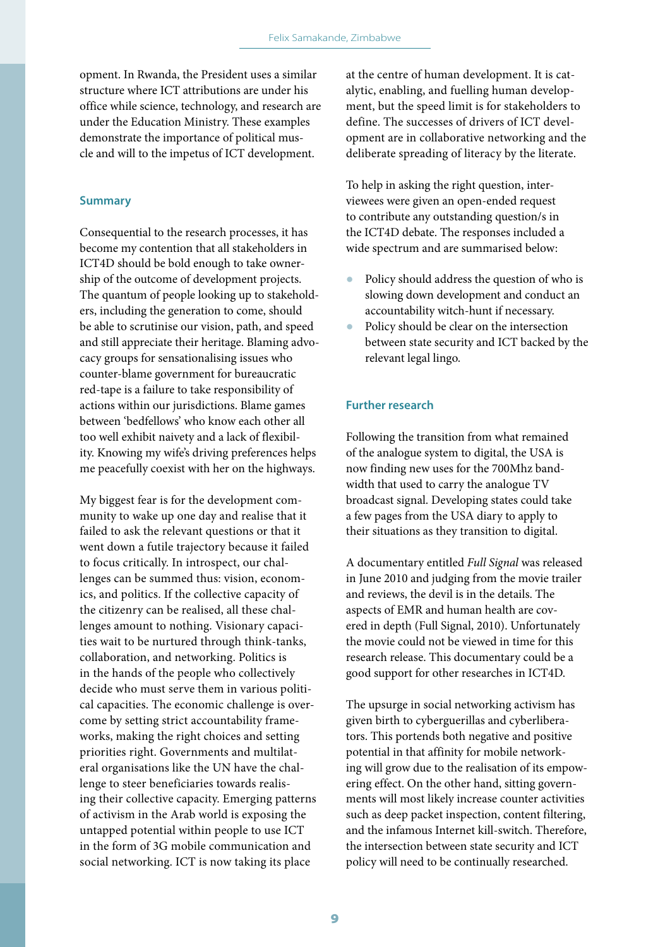opment. In Rwanda, the President uses a similar structure where ICT attributions are under his office while science, technology, and research are under the Education Ministry. These examples demonstrate the importance of political muscle and will to the impetus of ICT development.

#### **Summary**

Consequential to the research processes, it has become my contention that all stakeholders in ICT4D should be bold enough to take ownership of the outcome of development projects. The quantum of people looking up to stakeholders, including the generation to come, should be able to scrutinise our vision, path, and speed and still appreciate their heritage. Blaming advocacy groups for sensationalising issues who counter-blame government for bureaucratic red-tape is a failure to take responsibility of actions within our jurisdictions. Blame games between 'bedfellows' who know each other all too well exhibit naivety and a lack of flexibility. Knowing my wife's driving preferences helps me peacefully coexist with her on the highways.

My biggest fear is for the development community to wake up one day and realise that it failed to ask the relevant questions or that it went down a futile trajectory because it failed to focus critically. In introspect, our challenges can be summed thus: vision, economics, and politics. If the collective capacity of the citizenry can be realised, all these challenges amount to nothing. Visionary capacities wait to be nurtured through think-tanks, collaboration, and networking. Politics is in the hands of the people who collectively decide who must serve them in various political capacities. The economic challenge is overcome by setting strict accountability frameworks, making the right choices and setting priorities right. Governments and multilateral organisations like the UN have the challenge to steer beneficiaries towards realising their collective capacity. Emerging patterns of activism in the Arab world is exposing the untapped potential within people to use ICT in the form of 3G mobile communication and social networking. ICT is now taking its place

at the centre of human development. It is catalytic, enabling, and fuelling human development, but the speed limit is for stakeholders to define. The successes of drivers of ICT development are in collaborative networking and the deliberate spreading of literacy by the literate.

To help in asking the right question, interviewees were given an open-ended request to contribute any outstanding question/s in the ICT4D debate. The responses included a wide spectrum and are summarised below:

- Policy should address the question of who is slowing down development and conduct an accountability witch-hunt if necessary.
- Policy should be clear on the intersection between state security and ICT backed by the relevant legal lingo.

#### **Further research**

Following the transition from what remained of the analogue system to digital, the USA is now finding new uses for the 700Mhz bandwidth that used to carry the analogue TV broadcast signal. Developing states could take a few pages from the USA diary to apply to their situations as they transition to digital.

A documentary entitled *Full Signal* was released in June 2010 and judging from the movie trailer and reviews, the devil is in the details. The aspects of EMR and human health are covered in depth (Full Signal, 2010). Unfortunately the movie could not be viewed in time for this research release. This documentary could be a good support for other researches in ICT4D.

The upsurge in social networking activism has given birth to cyberguerillas and cyberliberators. This portends both negative and positive potential in that affinity for mobile networking will grow due to the realisation of its empowering effect. On the other hand, sitting governments will most likely increase counter activities such as deep packet inspection, content filtering, and the infamous Internet kill-switch. Therefore, the intersection between state security and ICT policy will need to be continually researched.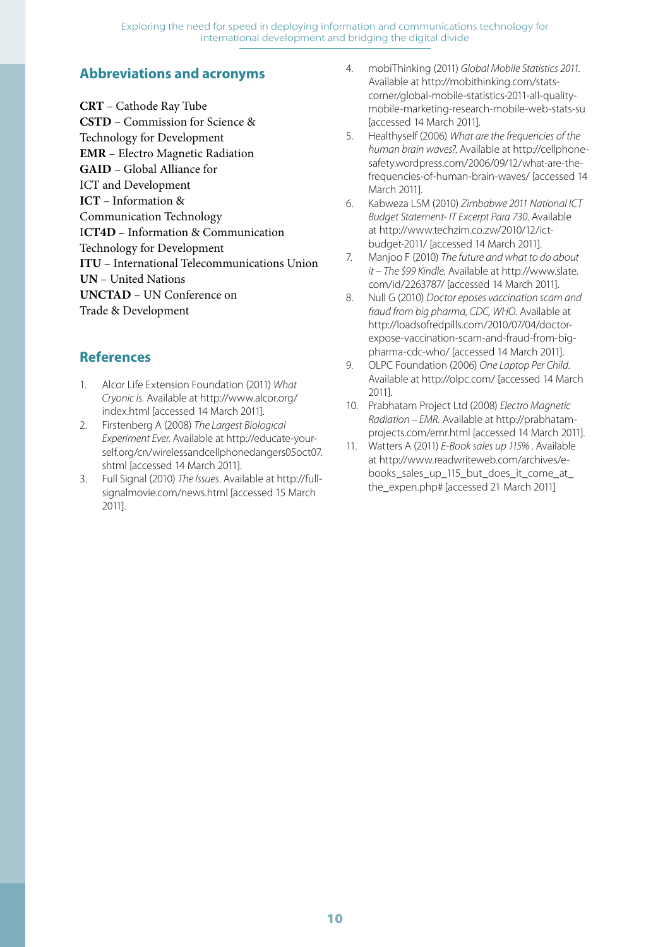Exploring the need for speed in deploying information and communications technology for international development and bridging the digital divide

## **Abbreviations and acronyms**

**CRT** – Cathode Ray Tube

**CSTD** – Commission for Science & Technology for Development **EMR** – Electro Magnetic Radiation **GAID** – Global Alliance for ICT and Development **ICT** – Information & Communication Technology I**CT4D** – Information & Communication Technology for Development **ITU** – International Telecommunications Union **UN** – United Nations **UNCTAD** – UN Conference on Trade & Development

## **References**

- 1. Alcor Life Extension Foundation (2011) What Cryonic Is. Available at http://www.alcor.org/ index.html [accessed 14 March 2011].
- 2. Firstenberg A (2008) The Largest Biological Experiment Ever. Available at http://educate-yourself.org/cn/wirelessandcellphonedangers05oct07. shtml [accessed 14 March 2011].
- Full Signal (2010) The Issues. Available at http://fullsignalmovie.com/news.html [accessed 15 March 2011].
- 4. mobiThinking (2011) Global Mobile Statistics 2011. Available at http://mobithinking.com/statscorner/global-mobile-statistics-2011-all-qualitymobile-marketing-research-mobile-web-stats-su [accessed 14 March 2011].
- 5. Healthyself (2006) What are the frequencies of the human brain waves?. Available at http://cellphonesafety.wordpress.com/2006/09/12/what-are-thefrequencies-of-human-brain-waves/ [accessed 14 March 2011].
- 6. Kabweza LSM (2010) Zimbabwe 2011 National ICT Budget Statement- IT Excerpt Para 730. Available at http://www.techzim.co.zw/2010/12/ictbudget-2011/ [accessed 14 March 2011].
- 7. Manjoo F (2010) The future and what to do about it – The \$99 Kindle. Available at http://www.slate. com/id/2263787/ [accessed 14 March 2011].
- 8. Null G (2010) Doctor eposes vaccination scam and fraud from big pharma, CDC, WHO. Available at http://loadsofredpills.com/2010/07/04/doctorexpose-vaccination-scam-and-fraud-from-bigpharma-cdc-who/ [accessed 14 March 2011].
- 9. OLPC Foundation (2006) One Laptop Per Child. Available at http://olpc.com/ [accessed 14 March 2011].
- 10. Prabhatam Project Ltd (2008) Electro Magnetic Radiation – EMR. Available at http://prabhatamprojects.com/emr.html [accessed 14 March 2011].
- 11. Watters A (2011) E-Book sales up 115% . Available at http://www.readwriteweb.com/archives/ebooks\_sales\_up\_115\_but\_does\_it\_come\_at\_ the\_expen.php# [accessed 21 March 2011]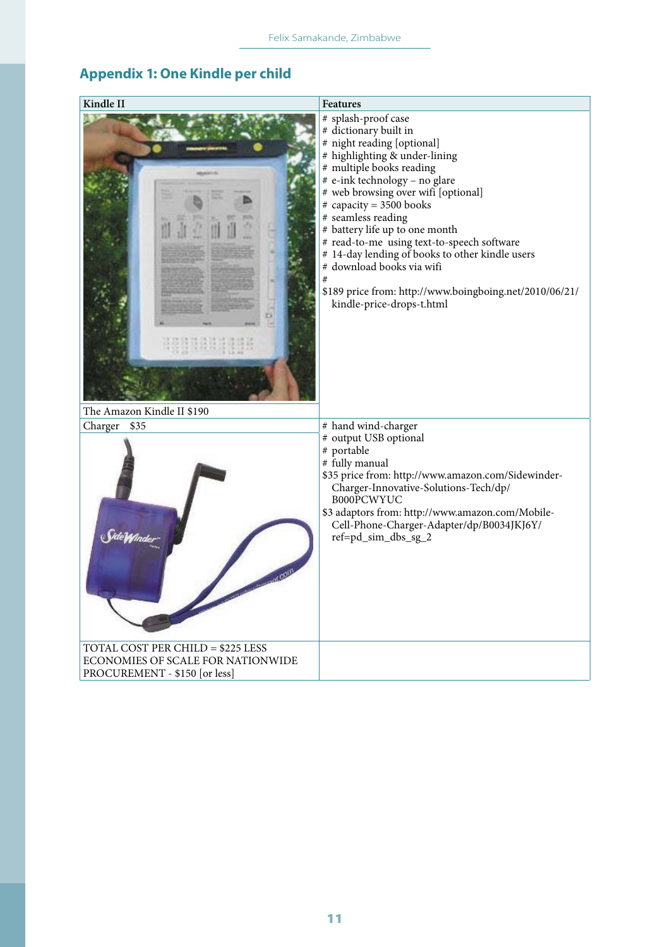## **Appendix 1: One Kindle per child**

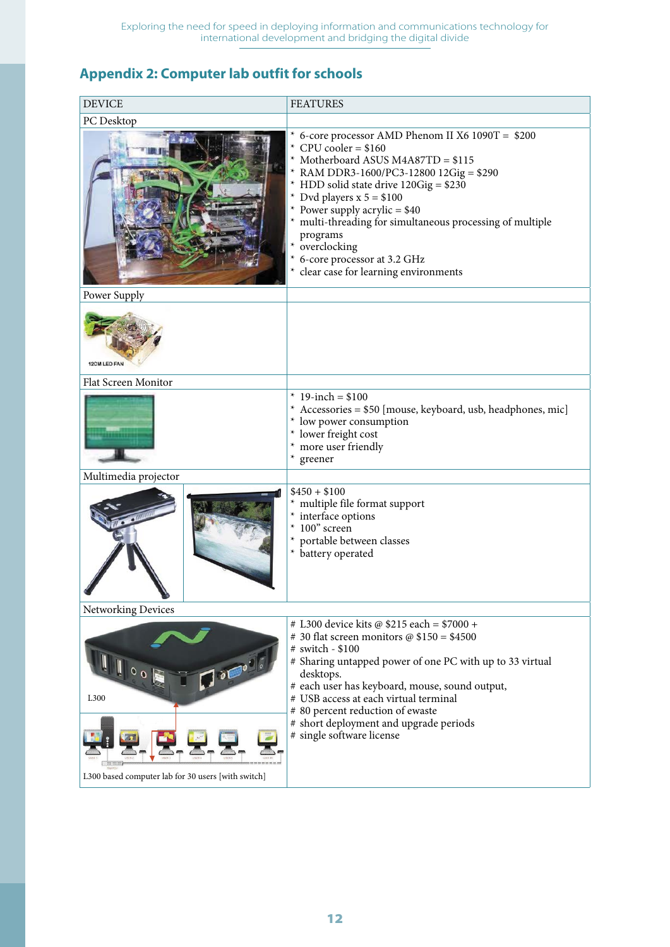## **Appendix 2: Computer lab outfit for schools**

| <b>DEVICE</b>                                      | <b>FEATURES</b>                                                                                                                                                                                                                                                                                                                                                                                                                              |  |  |  |
|----------------------------------------------------|----------------------------------------------------------------------------------------------------------------------------------------------------------------------------------------------------------------------------------------------------------------------------------------------------------------------------------------------------------------------------------------------------------------------------------------------|--|--|--|
| PC Desktop                                         |                                                                                                                                                                                                                                                                                                                                                                                                                                              |  |  |  |
|                                                    | * 6-core processor AMD Phenom II X6 1090T = $$200$<br>* CPU cooler = $$160$<br>* Motherboard ASUS M4A87TD = \$115<br>* RAM DDR3-1600/PC3-12800 12Gig = \$290<br>* HDD solid state drive 120Gig = \$230<br>* Dvd players $x 5 = $100$<br>* Power supply acrylic = $$40$<br>* multi-threading for simultaneous processing of multiple<br>programs<br>* overclocking<br>* 6-core processor at 3.2 GHz<br>* clear case for learning environments |  |  |  |
| Power Supply                                       |                                                                                                                                                                                                                                                                                                                                                                                                                                              |  |  |  |
| 12CM LED FAN                                       |                                                                                                                                                                                                                                                                                                                                                                                                                                              |  |  |  |
| Flat Screen Monitor                                |                                                                                                                                                                                                                                                                                                                                                                                                                                              |  |  |  |
|                                                    | * 19-inch = $$100$<br>* Accessories = \$50 [mouse, keyboard, usb, headphones, mic]<br>* low power consumption<br>* lower freight cost<br>* more user friendly<br>* greener                                                                                                                                                                                                                                                                   |  |  |  |
| Multimedia projector                               |                                                                                                                                                                                                                                                                                                                                                                                                                                              |  |  |  |
|                                                    | $$450 + $100$<br>multiple file format support<br>* interface options<br>$*100"$ screen<br>portable between classes<br>* battery operated                                                                                                                                                                                                                                                                                                     |  |  |  |
| Networking Devices                                 |                                                                                                                                                                                                                                                                                                                                                                                                                                              |  |  |  |
| 0 <sub>0</sub><br>L300                             | # L300 device kits @ \$215 each = \$7000 +<br># 30 flat screen monitors @ $$150 = $4500$<br># switch - \$100<br># Sharing untapped power of one PC with up to 33 virtual<br>desktops.<br># each user has keyboard, mouse, sound output,<br># USB access at each virtual terminal<br># 80 percent reduction of ewaste                                                                                                                         |  |  |  |
| L300 based computer lab for 30 users [with switch] | # short deployment and upgrade periods<br># single software license                                                                                                                                                                                                                                                                                                                                                                          |  |  |  |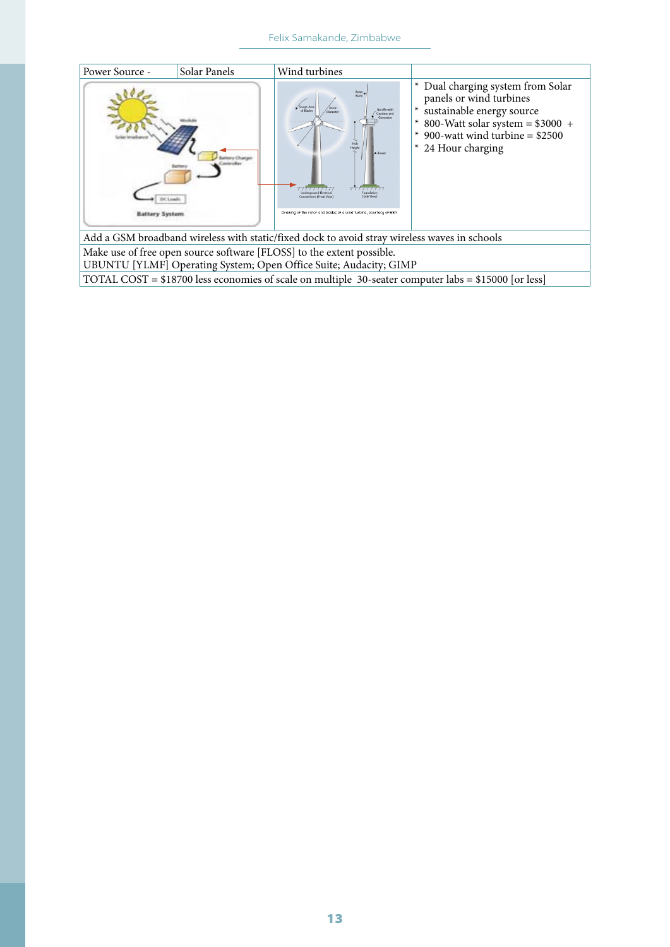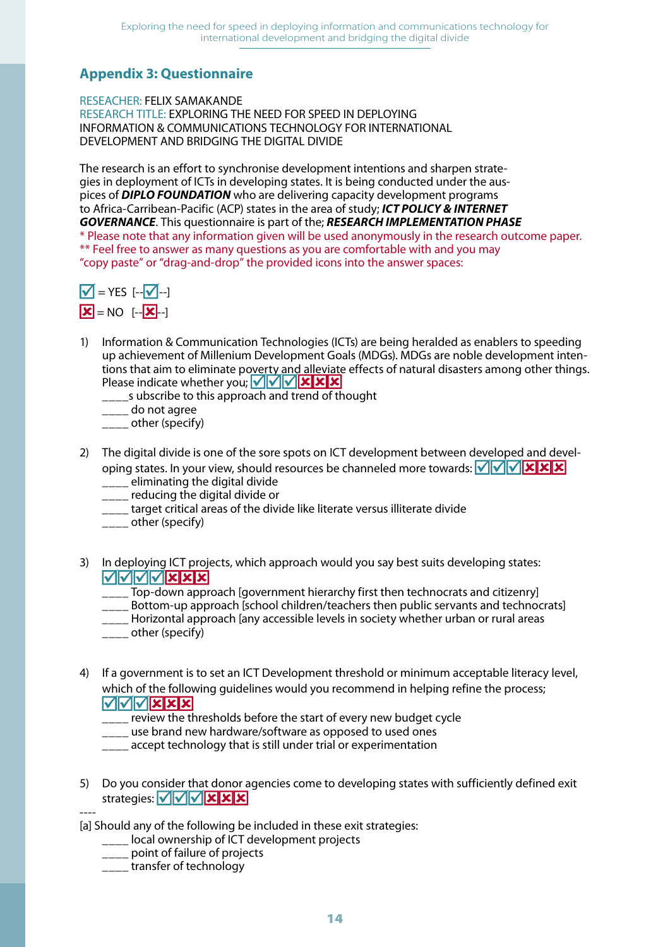## **Appendix 3: Questionnaire**

RESEACHER: FELIX SAMAKANDE RESEARCH TITLE: EXPLORING THE NEED FOR SPEED IN DEPLOYING INFORMATION & COMMUNICATIONS TECHNOLOGY FOR INTERNATIONAL DEVELOPMENT AND BRIDGING THE DIGITAL DIVIDE

The research is an effort to synchronise development intentions and sharpen strategies in deployment of ICTs in developing states. It is being conducted under the auspices of *DIPLO FOUNDATION* who are delivering capacity development programs to Africa-Carribean-Pacific (ACP) states in the area of study; *ICT POLICY & INTERNET GOVERNANCE*. This questionnaire is part of the; *RESEARCH IMPLEMENTATION PHASE* \* Please note that any information given will be used anonymously in the research outcome paper. \*\* Feel free to answer as many questions as you are comfortable with and you may "copy paste" or "drag-and-drop" the provided icons into the answer spaces:



- 1) Information & Communication Technologies (ICTs) are being heralded as enablers to speeding up achievement of Millenium Development Goals (MDGs). MDGs are noble development intentions that aim to eliminate poverty and alleviate effects of natural disasters among other things. Please indicate whether you;  $\sqrt{\sqrt{\sqrt{\mathbf{x}}}}$ 
	- **\_\_\_\_s** ubscribe to this approach and trend of thought
	- \_\_\_\_ do not agree
	- \_\_\_\_ other (specify)
- 2) The digital divide is one of the sore spots on ICT development between developed and developing states. In your view, should resources be channeled more towards:  $\sqrt{\sqrt{\mathbf{x}}\mathbf{x}}$ 
	- **\_\_\_\_** eliminating the digital divide
	- \_\_\_\_ reducing the digital divide or
	- \_\_\_\_ target critical areas of the divide like literate versus illiterate divide
	- <sub>\_\_\_\_</sub>\_ other (specify)
- 3) In deploying ICT projects, which approach would you say best suits developing states: **VVVVXXX** 
	- Top-down approach [government hierarchy first then technocrats and citizenry]
	- \_\_\_\_ Bottom-up approach [school children/teachers then public servants and technocrats]
	- \_\_\_\_ Horizontal approach [any accessible levels in society whether urban or rural areas
	- \_\_\_\_ other (specify)
- 4) If a government is to set an ICT Development threshold or minimum acceptable literacy level, which of the following guidelines would you recommend in helping refine the process;  $\sqrt{|\sqrt{|\sqrt{|\mathbf{x}|}}\mathbf{x}|\mathbf{x}|}$ 
	- review the thresholds before the start of every new budget cycle
	- \_\_\_\_ use brand new hardware/software as opposed to used ones
	- \_\_\_\_ accept technology that is still under trial or experimentation
- 5) Do you consider that donor agencies come to developing states with sufficiently defined exit strategies:  $\sqrt{\sqrt{\sqrt{\mathbf{x}}}}$

----

[a] Should any of the following be included in these exit strategies:

- **\_\_\_\_ local ownership of ICT development projects**
- **\_\_\_\_** point of failure of projects
- transfer of technology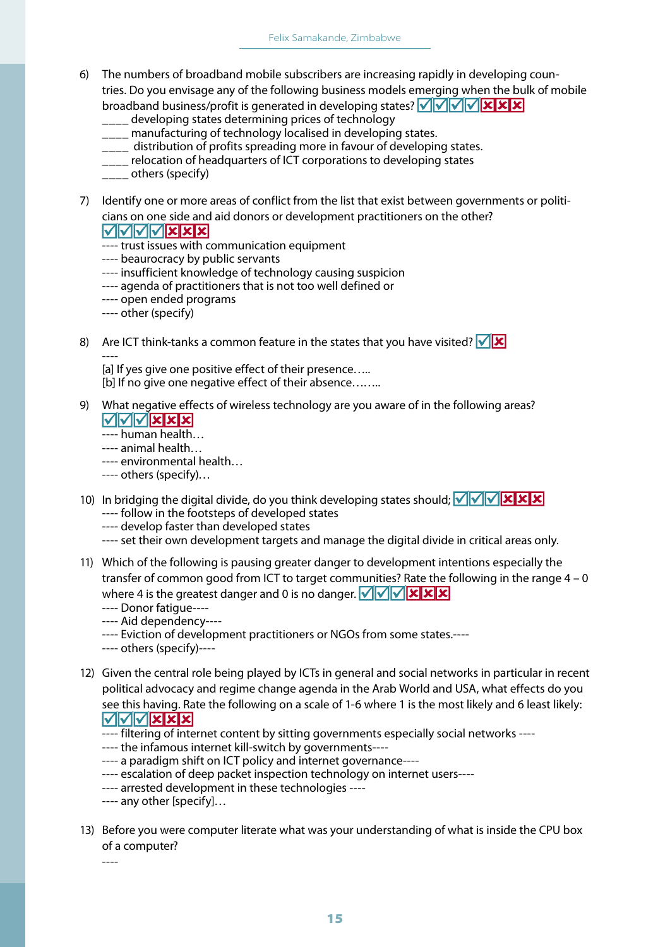- 6) The numbers of broadband mobile subscribers are increasing rapidly in developing countries. Do you envisage any of the following business models emerging when the bulk of mobile broadband business/profit is generated in developing states?  $\sqrt{\sqrt{\sqrt{\mathbf{x}}}}$ 
	- \_\_\_\_ developing states determining prices of technology
	- \_\_\_\_ manufacturing of technology localised in developing states.
	- \_\_\_\_ distribution of profits spreading more in favour of developing states.
	- \_\_\_\_ relocation of headquarters of ICT corporations to developing states
	- \_\_\_\_ others (specify)
- 7) Identify one or more areas of conflict from the list that exist between governments or politicians on one side and aid donors or development practitioners on the other?

MMMMXXX

- ---- trust issues with communication equipment
- ---- beaurocracy by public servants
- ---- insufficient knowledge of technology causing suspicion
- ---- agenda of practitioners that is not too well defined or
- ---- open ended programs
- ---- other (specify)
- 8) Are ICT think-tanks a common feature in the states that you have visited?  $\sqrt{\mathbf{x}}$ ----

[a] If yes give one positive effect of their presence..... [b] If no give one negative effect of their absence........

9) What negative effects of wireless technology are you aware of in the following areas?  $\sqrt{|\sqrt{|\sqrt{|\mathbf{X}|}}\mathbf{X}|}\mathbf{X}|}$ 

---- human health…

- ---- animal health…
- ---- environmental health…
- ---- others (specify)…
- 10) In bridging the digital divide, do you think developing states should;  $\sqrt{\sqrt{|\mathbf{X}| \mathbf{X}| \mathbf{X}}}$ 
	- ---- follow in the footsteps of developed states
	- ---- develop faster than developed states
	- ---- set their own development targets and manage the digital divide in critical areas only.
- 11) Which of the following is pausing greater danger to development intentions especially the transfer of common good from ICT to target communities? Rate the following in the range 4 – 0 where 4 is the greatest danger and 0 is no danger.  $\|\mathbf{v}\|\mathbf{v}\|\mathbf{x}$   $\|\mathbf{x}\|\mathbf{x}$ 
	- ---- Donor fatigue----
	- ---- Aid dependency----
	- ---- Eviction of development practitioners or NGOs from some states.----
	- ---- others (specify)----
- 12) Given the central role being played by ICTs in general and social networks in particular in recent political advocacy and regime change agenda in the Arab World and USA, what effects do you see this having. Rate the following on a scale of 1-6 where 1 is the most likely and 6 least likely: MVVXXX
	- ---- filtering of internet content by sitting governments especially social networks ----
	- ---- the infamous internet kill-switch by governments----
	- ---- a paradigm shift on ICT policy and internet governance----
	- ---- escalation of deep packet inspection technology on internet users----
	- ---- arrested development in these technologies ----
	- ---- any other [specify]…
- 13) Before you were computer literate what was your understanding of what is inside the CPU box of a computer?

----